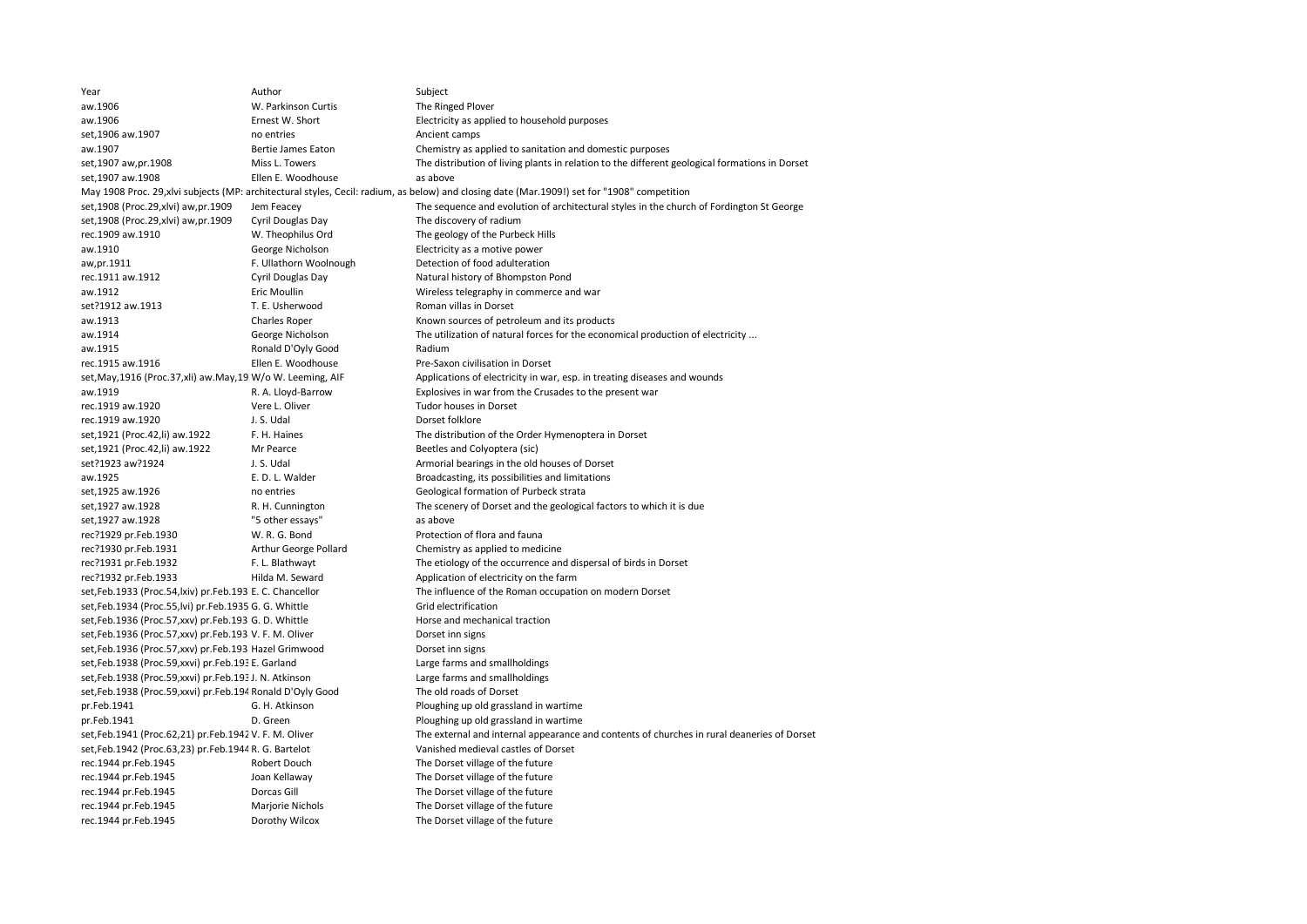| Year                                                            | Author                                                                                                                                       | Subject                                                                                        |  |  |  |  |
|-----------------------------------------------------------------|----------------------------------------------------------------------------------------------------------------------------------------------|------------------------------------------------------------------------------------------------|--|--|--|--|
| aw.1906                                                         | W. Parkinson Curtis                                                                                                                          | The Ringed Plover                                                                              |  |  |  |  |
| aw.1906                                                         | Ernest W. Short                                                                                                                              | Electricity as applied to household purposes                                                   |  |  |  |  |
| set, 1906 aw. 1907                                              | no entries                                                                                                                                   | Ancient camps                                                                                  |  |  |  |  |
| aw.1907                                                         | Bertie James Eaton                                                                                                                           | Chemistry as applied to sanitation and domestic purposes                                       |  |  |  |  |
| set, 1907 aw, pr. 1908                                          | Miss L. Towers                                                                                                                               | The distribution of living plants in relation to the different geological formations in Dorset |  |  |  |  |
| set, 1907 aw. 1908                                              | Ellen E. Woodhouse                                                                                                                           | as above                                                                                       |  |  |  |  |
|                                                                 | May 1908 Proc. 29, xlvi subjects (MP: architectural styles, Cecil: radium, as below) and closing date (Mar.1909!) set for "1908" competition |                                                                                                |  |  |  |  |
| set, 1908 (Proc. 29, xlvi) aw, pr. 1909                         | Jem Feacey                                                                                                                                   | The sequence and evolution of architectural styles in the church of Fordington St George       |  |  |  |  |
| set, 1908 (Proc. 29, xlvi) aw, pr. 1909                         | Cyril Douglas Day                                                                                                                            | The discovery of radium                                                                        |  |  |  |  |
| rec.1909 aw.1910                                                | W. Theophilus Ord                                                                                                                            | The geology of the Purbeck Hills                                                               |  |  |  |  |
| aw.1910                                                         | George Nicholson                                                                                                                             | Electricity as a motive power                                                                  |  |  |  |  |
| aw,pr.1911                                                      | F. Ullathorn Woolnough                                                                                                                       | Detection of food adulteration                                                                 |  |  |  |  |
| rec.1911 aw.1912                                                | Cyril Douglas Day                                                                                                                            | Natural history of Bhompston Pond                                                              |  |  |  |  |
| aw.1912                                                         | <b>Eric Moullin</b>                                                                                                                          | Wireless telegraphy in commerce and war                                                        |  |  |  |  |
| set?1912 aw.1913                                                | T. E. Usherwood                                                                                                                              | Roman villas in Dorset                                                                         |  |  |  |  |
| aw.1913                                                         | <b>Charles Roper</b>                                                                                                                         | Known sources of petroleum and its products                                                    |  |  |  |  |
| aw.1914                                                         | George Nicholson                                                                                                                             | The utilization of natural forces for the economical production of electricity                 |  |  |  |  |
| aw.1915                                                         | Ronald D'Oyly Good                                                                                                                           | Radium                                                                                         |  |  |  |  |
| rec.1915 aw.1916                                                | Ellen E. Woodhouse                                                                                                                           | Pre-Saxon civilisation in Dorset                                                               |  |  |  |  |
| set, May, 1916 (Proc. 37, xli) aw. May, 19 W/o W. Leeming, AIF  |                                                                                                                                              | Applications of electricity in war, esp. in treating diseases and wounds                       |  |  |  |  |
| aw.1919                                                         | R. A. Lloyd-Barrow                                                                                                                           | Explosives in war from the Crusades to the present war                                         |  |  |  |  |
| rec.1919 aw.1920                                                | Vere L. Oliver                                                                                                                               | Tudor houses in Dorset                                                                         |  |  |  |  |
| rec.1919 aw.1920                                                | J. S. Udal                                                                                                                                   | Dorset folklore                                                                                |  |  |  |  |
| set, 1921 (Proc. 42, li) aw. 1922                               | F. H. Haines                                                                                                                                 | The distribution of the Order Hymenoptera in Dorset                                            |  |  |  |  |
| set, 1921 (Proc. 42, li) aw. 1922                               | Mr Pearce                                                                                                                                    | Beetles and Colyoptera (sic)                                                                   |  |  |  |  |
| set?1923 aw?1924                                                | J. S. Udal                                                                                                                                   | Armorial bearings in the old houses of Dorset                                                  |  |  |  |  |
| aw.1925                                                         | E. D. L. Walder                                                                                                                              | Broadcasting, its possibilities and limitations                                                |  |  |  |  |
| set, 1925 aw. 1926                                              | no entries                                                                                                                                   | Geological formation of Purbeck strata                                                         |  |  |  |  |
| set, 1927 aw. 1928                                              | R. H. Cunnington                                                                                                                             | The scenery of Dorset and the geological factors to which it is due                            |  |  |  |  |
| set, 1927 aw. 1928                                              | "5 other essays"                                                                                                                             | as above                                                                                       |  |  |  |  |
| rec?1929 pr.Feb.1930                                            | W. R. G. Bond                                                                                                                                | Protection of flora and fauna                                                                  |  |  |  |  |
| rec?1930 pr.Feb.1931                                            | Arthur George Pollard                                                                                                                        | Chemistry as applied to medicine                                                               |  |  |  |  |
| rec?1931 pr.Feb.1932                                            | F. L. Blathwayt                                                                                                                              | The etiology of the occurrence and dispersal of birds in Dorset                                |  |  |  |  |
| rec?1932 pr.Feb.1933                                            | Hilda M. Seward                                                                                                                              | Application of electricity on the farm                                                         |  |  |  |  |
| set, Feb. 1933 (Proc. 54, Ixiv) pr. Feb. 193 E. C. Chancellor   |                                                                                                                                              | The influence of the Roman occupation on modern Dorset                                         |  |  |  |  |
| set, Feb. 1934 (Proc. 55, Ivi) pr. Feb. 1935 G. G. Whittle      |                                                                                                                                              | Grid electrification                                                                           |  |  |  |  |
| set, Feb. 1936 (Proc. 57, xxv) pr. Feb. 193 G. D. Whittle       |                                                                                                                                              | Horse and mechanical traction                                                                  |  |  |  |  |
| set, Feb. 1936 (Proc. 57, xxv) pr. Feb. 193 V. F. M. Oliver     |                                                                                                                                              | Dorset inn signs                                                                               |  |  |  |  |
| set,Feb.1936 (Proc.57,xxv) pr.Feb.193 Hazel Grimwood            |                                                                                                                                              | Dorset inn signs                                                                               |  |  |  |  |
| set, Feb.1938 (Proc.59, xxvi) pr. Feb.193 E. Garland            |                                                                                                                                              | Large farms and smallholdings                                                                  |  |  |  |  |
| set, Feb.1938 (Proc.59, xxvi) pr. Feb.193J. N. Atkinson         |                                                                                                                                              | Large farms and smallholdings                                                                  |  |  |  |  |
| set, Feb. 1938 (Proc. 59, xxvi) pr. Feb. 194 Ronald D'Oyly Good |                                                                                                                                              | The old roads of Dorset                                                                        |  |  |  |  |
| pr.Feb.1941                                                     | G. H. Atkinson                                                                                                                               | Ploughing up old grassland in wartime                                                          |  |  |  |  |
| pr.Feb.1941                                                     | D. Green                                                                                                                                     | Ploughing up old grassland in wartime                                                          |  |  |  |  |
| set, Feb. 1941 (Proc. 62, 21) pr. Feb. 1942 V. F. M. Oliver     |                                                                                                                                              | The external and internal appearance and contents of churches in rural deaneries of Dorset     |  |  |  |  |
| set, Feb. 1942 (Proc. 63, 23) pr. Feb. 1944 R. G. Bartelot      |                                                                                                                                              | Vanished medieval castles of Dorset                                                            |  |  |  |  |
| rec.1944 pr.Feb.1945                                            | Robert Douch                                                                                                                                 | The Dorset village of the future                                                               |  |  |  |  |
| rec.1944 pr.Feb.1945                                            | Joan Kellaway                                                                                                                                | The Dorset village of the future                                                               |  |  |  |  |
| rec.1944 pr.Feb.1945                                            | Dorcas Gill                                                                                                                                  | The Dorset village of the future                                                               |  |  |  |  |
| rec.1944 pr.Feb.1945                                            | Marjorie Nichols                                                                                                                             | The Dorset village of the future                                                               |  |  |  |  |
| rec.1944 pr.Feb.1945                                            | Dorothy Wilcox                                                                                                                               | The Dorset village of the future                                                               |  |  |  |  |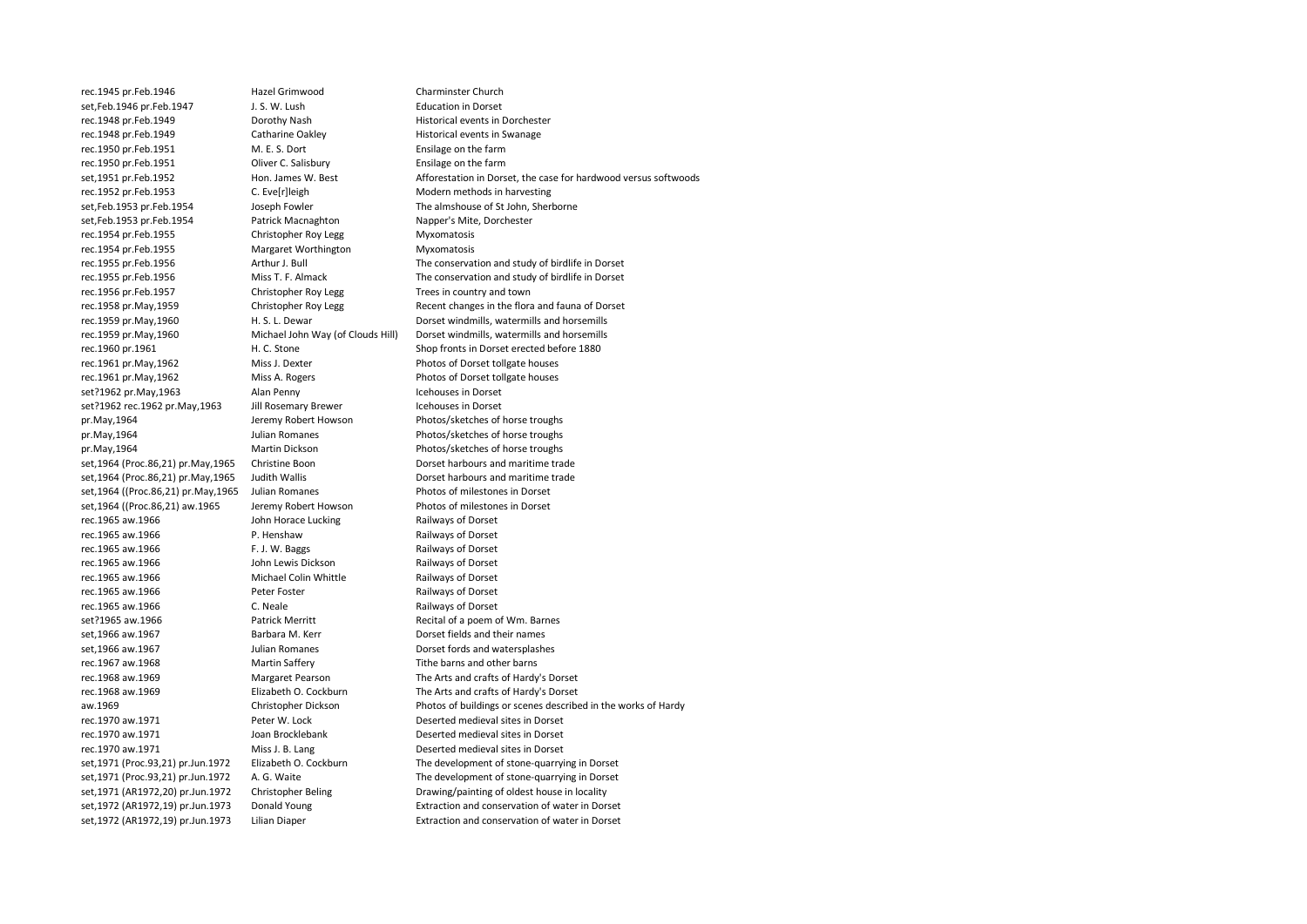set.Feb.1946 pr.Feb.1947 rec.1950 pr.Feb.1951 set,1964 (Proc.86,21) pr.May,1965

rec.1945 pr.Feb.1946 Hazel Grimwood Charminster Church<br>
Set Feb 1946 pr. Feb 1947 (Charminster Church Charminster Church Charminster Church Charminster Church Charminster Church Charminster Church Charminster Church Charmi rec.1948 pr.Feb.1949 **Dorothy Nash** Borothy Nash Historical events in Dorchester<br>
Fistorical events in Swanage Catharine Oakley Historical events in Swanage Catharine Oakley<br>
M. E. S. Dort **Example 2018** Ensilage on the farm rec.1950 pr.Feb.1951 Oliver C. Salisbury Ensilage on the farm rec.1952 pr.Feb.1953 C. Eve[r]leigh Modern methods in harvesting care and the C. Eve[r]leigh methods in harvesting<br>
set,Feb.1953 pr.Feb.1954 Joseph Fowler The almshouse of St John, Sher Joseph Fowler The almshouse of St John, Sherborne set,Feb.1953 pr.Feb.1954 Patrick Macnaghton Napper's Mite, Dorchester rec.1954 pr.Feb.1955 Christopher Roy Legg Myxomatosis<br>
rec.1954 pr.Feb.1955 Margaret Worthington Myxomatosis Margaret Worthington Myxomatosis rec.1955 pr.Feb.1956 Arthur J. Bull The conservation and study of birdlife in Dorset rec.1955 pr.Feb.1956 Miss T. F. Almack The conservation and study of birdlife in Dorset rec.1956 pr.Feb.1957 Christopher Roy Legg Trees in country and town<br>
rec.1958 pr.Mav.1959 Christopher Roy Legg Recent changes in the flora rec.1959 pr.May,1960 H. S. L. Dewar Dorset windmills, watermills and horsemills rec.1959 pr.May,1960 Michael John Way (of Clouds Hill) Dorset windmills, watermills and horsemills rec.1960 pr.1961 H. C. Stone Shop fronts in Dorset erected before 1880 rec.1961 pr.May,1962 Miss J. Dexter Photos of Dorset tollgate houses rec.1961 pr.May,1962 Miss A. Rogers Photos of Dorset tollgate houses set?1962 pr.May,1963 Alan Penny Icehouses in Dorset set?1962 rec.1962 pr.May,1963 Jill Rosemary Brewer Icehouses in Dorset pr.May,1964 Jeremy Robert Howson Photos/sketches of horse troughs pr.May,1964 Julian Romanes Photos/sketches of horse troughs pr.May,1964<br>set.1964 (Proc.86.21) pr.May.1965 Christine Boon<br>Dorset harbours and maritime trade set,1964 (Proc.86,21) pr.May,1965 Judith Wallis Dorset harbours and maritime trade set,1964 ((Proc.86,21) pr.May,1965 Julian Romanes Photos of milestones in Dorset set,1964 ((Proc.86,21) aw.1965 Jeremy Robert Howson Photos of milestones in Dorset rec.1965 aw.1966 **State State State Lucking Railways of Dorset** John Horace Lucking Railways of Dorset rec.1965 aw.1966 **P. Henshaw** P. Henshaw Railways of Dorset rec.1965 aw.1966 **F. J. W. Baggs** Railways of Dorset rec.1965 aw.1966 John Lewis Dickson Railways of Dorset rec.1965 aw.1966 Michael Colin Whittle Railways of Dorset rec.1965 aw.1966 Peter Foster Railways of Dorset rec.1965 aw.1966 C. Neale Railways of Dorset set?1965 aw.1966 **Patrick Merritt** Recital of a poem of Wm. Barnes set,1966 aw.1967 **Barbara M. Kerr** Barbara M. Kerr **Dorset fields and their names** set,1966 aw.1967 **Julian Romanes** Dorset fords and watersplashes rec.1967 aw.1968 Martin Saffery Tithe barns and other barns rec.1968 aw.1969 Margaret Pearson The Arts and crafts of Hardy's Dorset rec.1968 aw.1969 Elizabeth O. Cockburn The Arts and crafts of Hardy's Dorset rec.1970 aw.1971 Peter W. Lock Deserted medieval sites in Dorset rec.1970 aw.1971 Joan Brocklebank Deserted medieval sites in Dorset rec.1970 aw.1971 Miss J. B. Lang Deserted medieval sites in Dorset set,1971 (Proc.93,21) pr.Jun.1972 Elizabeth O. Cockburn The development of stone-quarrying in Dorset set,1971 (Proc.93,21) pr.Jun.1972 A. G. Waite The development of stone-quarrying in Dorset set,1971 (AR1972,20) pr.Jun.1972 Christopher Beling Drawing/painting of oldest house in locality set,1972 (AR1972,19) pr.Jun.1973 Donald Young Extraction and conservation of water in Dorset set,1972 (AR1972,19) pr.Jun.1973 Lilian Diaper Extraction and conservation of water in Dorset

set,1951 pr.Feb.1952 Hon. James W. Best Afforestation in Dorset, the case for hardwood versus softwoods<br>
rec.1952 pr.Feb.1953 C. Eve[r]leigh Modern methods in harvesting Recent changes in the flora and fauna of Dorset aw.1969 Christopher Dickson Photos of buildings or scenes described in the works of Hardy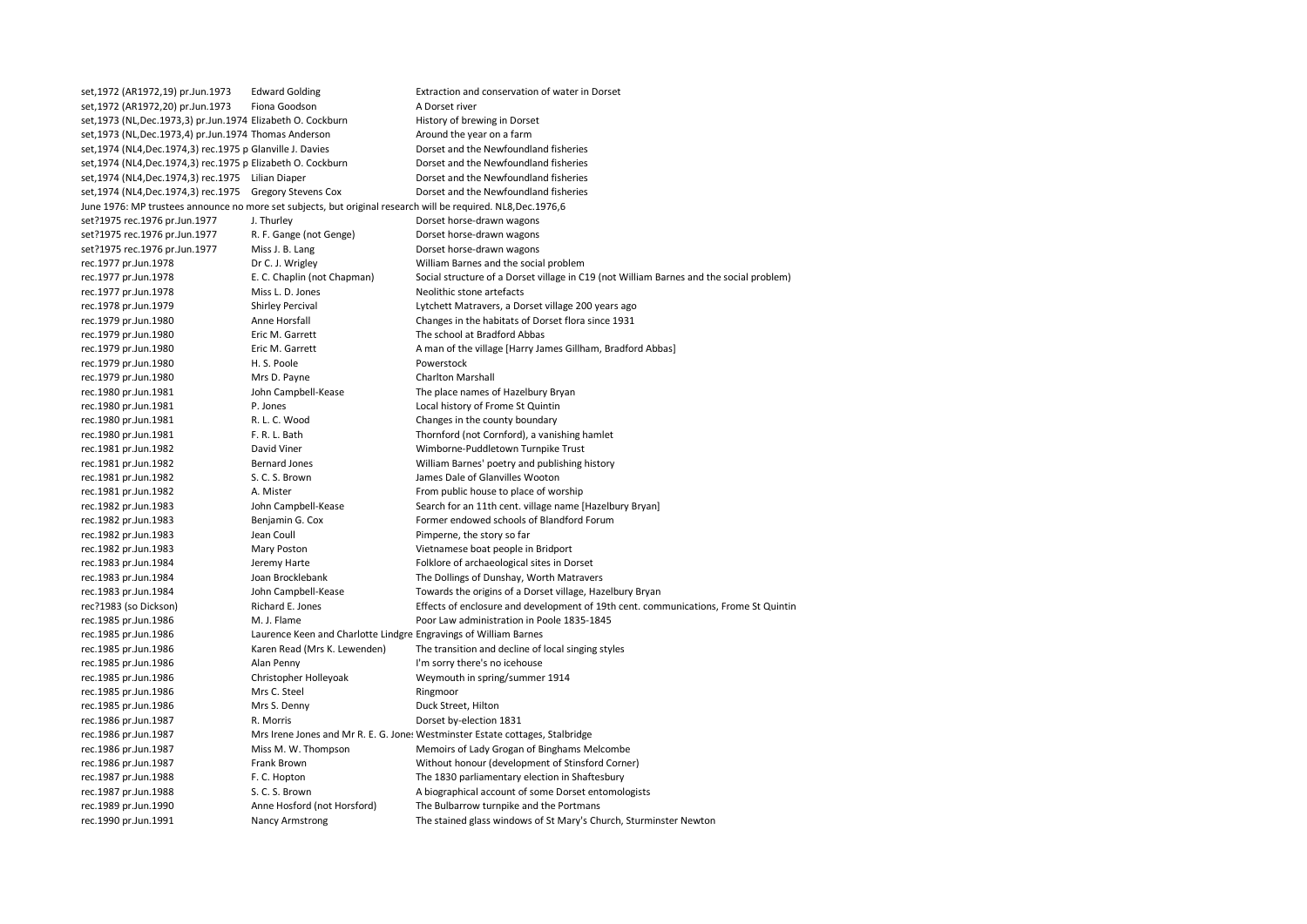| set, 1972 (AR1972, 19) pr. Jun. 1973                                                                            | <b>Edward Golding</b>                                            | Extraction and conservation of water in Dorset                                                               |
|-----------------------------------------------------------------------------------------------------------------|------------------------------------------------------------------|--------------------------------------------------------------------------------------------------------------|
| set, 1972 (AR1972, 20) pr.Jun. 1973                                                                             | Fiona Goodson                                                    | A Dorset river                                                                                               |
| set, 1973 (NL, Dec. 1973, 3) pr. Jun. 1974 Elizabeth O. Cockburn                                                |                                                                  | History of brewing in Dorset                                                                                 |
| set, 1973 (NL, Dec. 1973, 4) pr. Jun. 1974 Thomas Anderson                                                      |                                                                  | Around the year on a farm                                                                                    |
| set, 1974 (NL4, Dec. 1974, 3) rec. 1975 p Glanville J. Davies                                                   |                                                                  | Dorset and the Newfoundland fisheries                                                                        |
| set,1974 (NL4,Dec.1974,3) rec.1975 p Elizabeth O. Cockburn                                                      |                                                                  | Dorset and the Newfoundland fisheries                                                                        |
| set, 1974 (NL4, Dec. 1974, 3) rec. 1975 Lilian Diaper                                                           |                                                                  | Dorset and the Newfoundland fisheries                                                                        |
| set, 1974 (NL4, Dec. 1974, 3) rec. 1975                                                                         | <b>Gregory Stevens Cox</b>                                       | Dorset and the Newfoundland fisheries                                                                        |
| June 1976: MP trustees announce no more set subjects, but original research will be required. NL8, Dec. 1976, 6 |                                                                  |                                                                                                              |
| set?1975 rec.1976 pr.Jun.1977                                                                                   | J. Thurley                                                       | Dorset horse-drawn wagons                                                                                    |
| set?1975 rec.1976 pr.Jun.1977                                                                                   | R. F. Gange (not Genge)                                          | Dorset horse-drawn wagons                                                                                    |
| set?1975 rec.1976 pr.Jun.1977                                                                                   | Miss J. B. Lang                                                  | Dorset horse-drawn wagons                                                                                    |
| rec.1977 pr.Jun.1978                                                                                            | Dr C. J. Wrigley                                                 | William Barnes and the social problem                                                                        |
| rec.1977 pr.Jun.1978                                                                                            | E. C. Chaplin (not Chapman)                                      | Social structure of a Dorset village in C19 (not William Barnes and the social problem)                      |
| rec.1977 pr.Jun.1978                                                                                            | Miss L. D. Jones                                                 | Neolithic stone artefacts                                                                                    |
| rec.1978 pr.Jun.1979                                                                                            | <b>Shirley Percival</b>                                          | Lytchett Matravers, a Dorset village 200 years ago                                                           |
| rec.1979 pr.Jun.1980                                                                                            | Anne Horsfall                                                    | Changes in the habitats of Dorset flora since 1931                                                           |
| rec.1979 pr.Jun.1980                                                                                            | Eric M. Garrett                                                  | The school at Bradford Abbas                                                                                 |
| rec.1979 pr.Jun.1980                                                                                            | Eric M. Garrett                                                  | A man of the village [Harry James Gillham, Bradford Abbas]                                                   |
| rec.1979 pr.Jun.1980                                                                                            | H. S. Poole                                                      | Powerstock                                                                                                   |
| rec.1979 pr.Jun.1980                                                                                            | Mrs D. Payne                                                     | <b>Charlton Marshall</b>                                                                                     |
| rec.1980 pr.Jun.1981                                                                                            | John Campbell-Kease                                              | The place names of Hazelbury Bryan                                                                           |
| rec.1980 pr.Jun.1981                                                                                            | P. Jones                                                         | Local history of Frome St Quintin                                                                            |
| rec.1980 pr.Jun.1981                                                                                            | R. L. C. Wood                                                    | Changes in the county boundary                                                                               |
| rec.1980 pr.Jun.1981                                                                                            | F. R. L. Bath                                                    | Thornford (not Cornford), a vanishing hamlet                                                                 |
| rec.1981 pr.Jun.1982                                                                                            | David Viner                                                      | Wimborne-Puddletown Turnpike Trust                                                                           |
| rec.1981 pr.Jun.1982                                                                                            | <b>Bernard Jones</b>                                             | William Barnes' poetry and publishing history                                                                |
| rec.1981 pr.Jun.1982                                                                                            | S. C. S. Brown                                                   | James Dale of Glanvilles Wooton                                                                              |
| rec.1981 pr.Jun.1982                                                                                            | A. Mister                                                        | From public house to place of worship                                                                        |
| rec.1982 pr.Jun.1983                                                                                            | John Campbell-Kease                                              | Search for an 11th cent. village name [Hazelbury Bryan]                                                      |
| rec.1982 pr.Jun.1983                                                                                            | Benjamin G. Cox                                                  | Former endowed schools of Blandford Forum                                                                    |
| rec.1982 pr.Jun.1983                                                                                            | Jean Coull                                                       | Pimperne, the story so far                                                                                   |
| rec.1982 pr.Jun.1983                                                                                            | Mary Poston                                                      | Vietnamese boat people in Bridport                                                                           |
| rec.1983 pr.Jun.1984                                                                                            | Jeremy Harte                                                     | Folklore of archaeological sites in Dorset                                                                   |
| rec.1983 pr.Jun.1984                                                                                            | Joan Brocklebank                                                 | The Dollings of Dunshay, Worth Matravers                                                                     |
| rec.1983 pr.Jun.1984                                                                                            | John Campbell-Kease                                              | Towards the origins of a Dorset village, Hazelbury Bryan                                                     |
| rec?1983 (so Dickson)                                                                                           | Richard E. Jones                                                 | Effects of enclosure and development of 19th cent. communications, Frome St Quintin                          |
| rec.1985 pr.Jun.1986                                                                                            | M. J. Flame                                                      | Poor Law administration in Poole 1835-1845                                                                   |
| rec.1985 pr.Jun.1986                                                                                            | Laurence Keen and Charlotte Lindgre Engravings of William Barnes |                                                                                                              |
| rec.1985 pr.Jun.1986                                                                                            | Karen Read (Mrs K. Lewenden)                                     | The transition and decline of local singing styles                                                           |
| rec.1985 pr.Jun.1986                                                                                            | Alan Penny                                                       | I'm sorry there's no icehouse                                                                                |
| rec.1985 pr.Jun.1986                                                                                            | Christopher Holleyoak                                            | Weymouth in spring/summer 1914                                                                               |
| rec.1985 pr.Jun.1986                                                                                            | Mrs C. Steel                                                     | Ringmoor                                                                                                     |
| rec.1985 pr.Jun.1986                                                                                            | Mrs S. Denny                                                     | Duck Street, Hilton                                                                                          |
| rec.1986 pr.Jun.1987                                                                                            | R. Morris                                                        | Dorset by-election 1831                                                                                      |
| rec.1986 pr.Jun.1987                                                                                            |                                                                  | Mrs Irene Jones and Mr R. E. G. Jones Westminster Estate cottages, Stalbridge                                |
|                                                                                                                 | Miss M. W. Thompson                                              | Memoirs of Lady Grogan of Binghams Melcombe                                                                  |
| rec.1986 pr.Jun.1987<br>rec.1986 pr.Jun.1987                                                                    | Frank Brown                                                      | Without honour (development of Stinsford Corner)                                                             |
|                                                                                                                 | F. C. Hopton                                                     |                                                                                                              |
| rec.1987 pr.Jun.1988                                                                                            | S. C. S. Brown                                                   | The 1830 parliamentary election in Shaftesbury<br>A biographical account of some Dorset entomologists        |
| rec.1987 pr.Jun.1988                                                                                            |                                                                  |                                                                                                              |
| rec.1989 pr.Jun.1990                                                                                            | Anne Hosford (not Horsford)                                      | The Bulbarrow turnpike and the Portmans<br>The stained glass windows of St Mary's Church, Sturminster Newton |
| rec.1990 pr.Jun.1991                                                                                            | <b>Nancy Armstrong</b>                                           |                                                                                                              |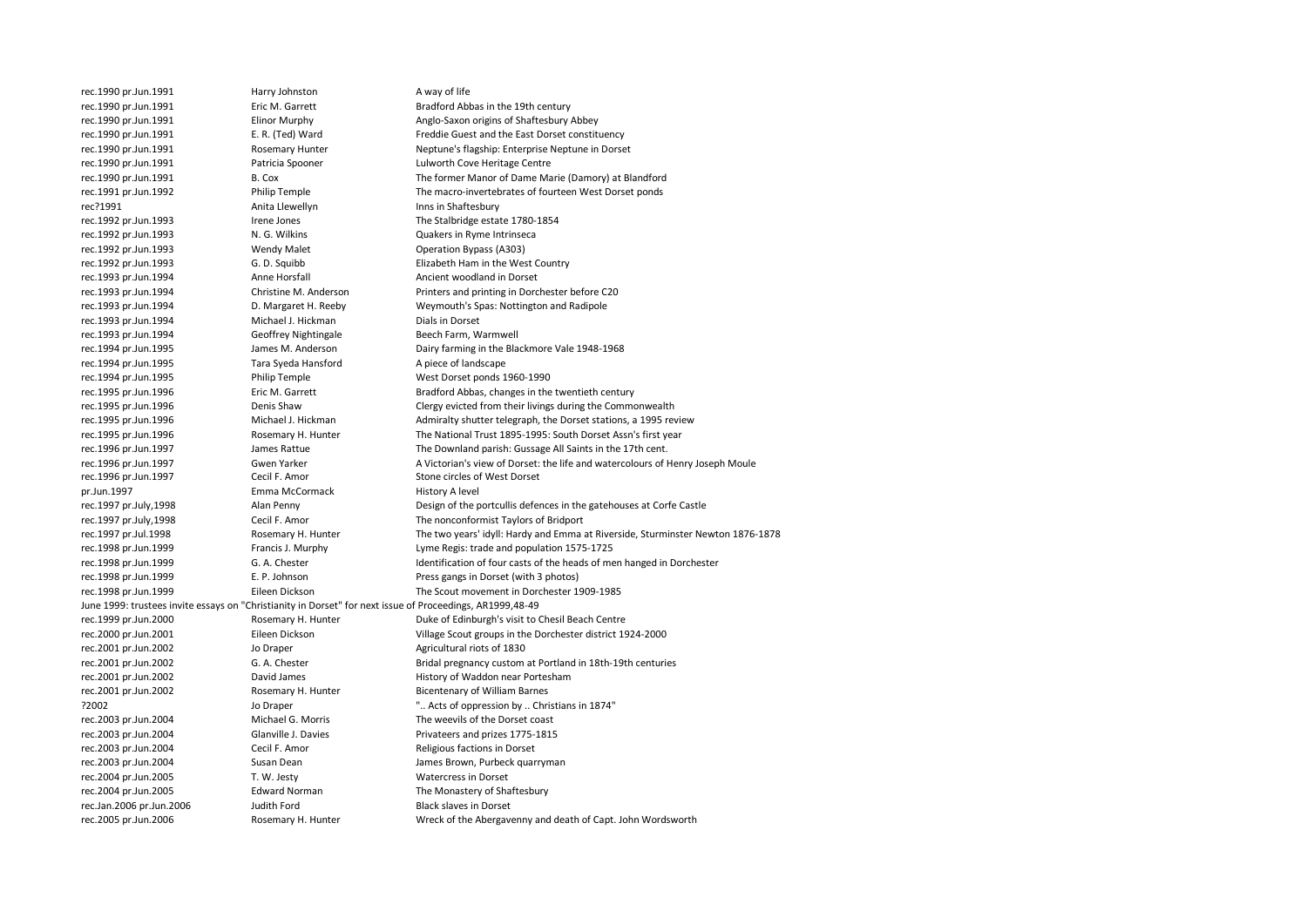| rec.1990 pr.Jun.1991                                                                                      | Harry Johnston        | A way of life                                                                   |
|-----------------------------------------------------------------------------------------------------------|-----------------------|---------------------------------------------------------------------------------|
| rec.1990 pr.Jun.1991                                                                                      | Eric M. Garrett       | Bradford Abbas in the 19th century                                              |
| rec.1990 pr.Jun.1991                                                                                      | <b>Elinor Murphy</b>  | Anglo-Saxon origins of Shaftesbury Abbey                                        |
| rec.1990 pr.Jun.1991                                                                                      | E. R. (Ted) Ward      | Freddie Guest and the East Dorset constituency                                  |
| rec.1990 pr.Jun.1991                                                                                      | Rosemary Hunter       | Neptune's flagship: Enterprise Neptune in Dorset                                |
| rec.1990 pr.Jun.1991                                                                                      | Patricia Spooner      | Lulworth Cove Heritage Centre                                                   |
| rec.1990 pr.Jun.1991                                                                                      | B. Cox                | The former Manor of Dame Marie (Damory) at Blandford                            |
| rec.1991 pr.Jun.1992                                                                                      | Philip Temple         | The macro-invertebrates of fourteen West Dorset ponds                           |
| rec?1991                                                                                                  | Anita Llewellyn       | Inns in Shaftesbury                                                             |
| rec.1992 pr.Jun.1993                                                                                      | Irene Jones           | The Stalbridge estate 1780-1854                                                 |
| rec.1992 pr.Jun.1993                                                                                      | N. G. Wilkins         | Quakers in Ryme Intrinseca                                                      |
| rec.1992 pr.Jun.1993                                                                                      | <b>Wendy Malet</b>    | Operation Bypass (A303)                                                         |
| rec.1992 pr.Jun.1993                                                                                      | G. D. Squibb          | Elizabeth Ham in the West Country                                               |
| rec.1993 pr.Jun.1994                                                                                      | Anne Horsfall         | Ancient woodland in Dorset                                                      |
| rec.1993 pr.Jun.1994                                                                                      | Christine M. Anderson | Printers and printing in Dorchester before C20                                  |
| rec.1993 pr.Jun.1994                                                                                      | D. Margaret H. Reeby  | Weymouth's Spas: Nottington and Radipole                                        |
| rec.1993 pr.Jun.1994                                                                                      | Michael J. Hickman    | Dials in Dorset                                                                 |
| rec.1993 pr.Jun.1994                                                                                      | Geoffrey Nightingale  | Beech Farm, Warmwell                                                            |
| rec.1994 pr.Jun.1995                                                                                      | James M. Anderson     | Dairy farming in the Blackmore Vale 1948-1968                                   |
| rec.1994 pr.Jun.1995                                                                                      | Tara Syeda Hansford   | A piece of landscape                                                            |
| rec.1994 pr.Jun.1995                                                                                      | Philip Temple         | West Dorset ponds 1960-1990                                                     |
| rec.1995 pr.Jun.1996                                                                                      | Eric M. Garrett       | Bradford Abbas, changes in the twentieth century                                |
| rec.1995 pr.Jun.1996                                                                                      | Denis Shaw            | Clergy evicted from their livings during the Commonwealth                       |
| rec.1995 pr.Jun.1996                                                                                      | Michael J. Hickman    | Admiralty shutter telegraph, the Dorset stations, a 1995 review                 |
| rec.1995 pr.Jun.1996                                                                                      | Rosemary H. Hunter    | The National Trust 1895-1995: South Dorset Assn's first year                    |
| rec.1996 pr.Jun.1997                                                                                      | James Rattue          | The Downland parish: Gussage All Saints in the 17th cent.                       |
| rec.1996 pr.Jun.1997                                                                                      | Gwen Yarker           | A Victorian's view of Dorset: the life and watercolours of Henry Joseph Moule   |
| rec.1996 pr.Jun.1997                                                                                      | Cecil F. Amor         | Stone circles of West Dorset                                                    |
| pr.Jun.1997                                                                                               | Emma McCormack        | History A level                                                                 |
| rec.1997 pr.July,1998                                                                                     | Alan Penny            | Design of the portcullis defences in the gatehouses at Corfe Castle             |
| rec.1997 pr.July,1998                                                                                     | Cecil F. Amor         | The nonconformist Taylors of Bridport                                           |
| rec.1997 pr.Jul.1998                                                                                      | Rosemary H. Hunter    | The two years' idyll: Hardy and Emma at Riverside, Sturminster Newton 1876-1878 |
| rec.1998 pr.Jun.1999                                                                                      | Francis J. Murphy     | Lyme Regis: trade and population 1575-1725                                      |
| rec.1998 pr.Jun.1999                                                                                      | G. A. Chester         | Identification of four casts of the heads of men hanged in Dorchester           |
| rec.1998 pr.Jun.1999                                                                                      | E. P. Johnson         | Press gangs in Dorset (with 3 photos)                                           |
| rec.1998 pr.Jun.1999                                                                                      | Eileen Dickson        | The Scout movement in Dorchester 1909-1985                                      |
| June 1999: trustees invite essays on "Christianity in Dorset" for next issue of Proceedings, AR1999,48-49 |                       |                                                                                 |
| rec.1999 pr.Jun.2000                                                                                      | Rosemary H. Hunter    | Duke of Edinburgh's visit to Chesil Beach Centre                                |
| rec.2000 pr.Jun.2001                                                                                      | Eileen Dickson        | Village Scout groups in the Dorchester district 1924-2000                       |
|                                                                                                           | Jo Draper             | Agricultural riots of 1830                                                      |
| rec.2001 pr.Jun.2002<br>rec.2001 pr.Jun.2002                                                              | G. A. Chester         | Bridal pregnancy custom at Portland in 18th-19th centuries                      |
|                                                                                                           | David James           | History of Waddon near Portesham                                                |
| rec.2001 pr.Jun.2002                                                                                      |                       |                                                                                 |
| rec.2001 pr.Jun.2002                                                                                      | Rosemary H. Hunter    | <b>Bicentenary of William Barnes</b>                                            |
| ?2002                                                                                                     | Jo Draper             | " Acts of oppression by  Christians in 1874"                                    |
| rec.2003 pr.Jun.2004                                                                                      | Michael G. Morris     | The weevils of the Dorset coast                                                 |
| rec.2003 pr.Jun.2004                                                                                      | Glanville J. Davies   | Privateers and prizes 1775-1815                                                 |
| rec.2003 pr.Jun.2004                                                                                      | Cecil F. Amor         | Religious factions in Dorset                                                    |
| rec.2003 pr.Jun.2004                                                                                      | Susan Dean            | James Brown, Purbeck quarryman                                                  |
| rec.2004 pr.Jun.2005                                                                                      | T. W. Jesty           | <b>Watercress in Dorset</b>                                                     |
| rec.2004 pr.Jun.2005                                                                                      | <b>Edward Norman</b>  | The Monastery of Shaftesbury                                                    |
| rec.Jan.2006 pr.Jun.2006                                                                                  | Judith Ford           | <b>Black slaves in Dorset</b>                                                   |
| rec.2005 pr.Jun.2006                                                                                      | Rosemary H. Hunter    | Wreck of the Abergavenny and death of Capt. John Wordsworth                     |